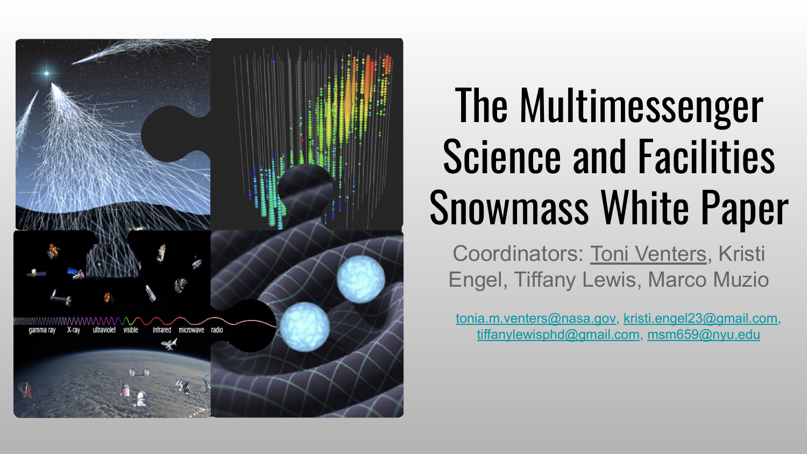

# The Multimessenger Science and Facilities Snowmass White Paper

Coordinators: Toni Venters, Kristi Engel, Tiffany Lewis, Marco Muzio

[tonia.m.venters@nasa.gov,](mailto:tonia.m.venters@nasa.gov) [kristi.engel23@gmail.com,](mailto:kristi.engel23@gmail.com) [tiffanylewisphd@gmail.com,](mailto:tiffanylewisphd@gmail.com) [msm659@nyu.edu](mailto:msm659@nyu.edu)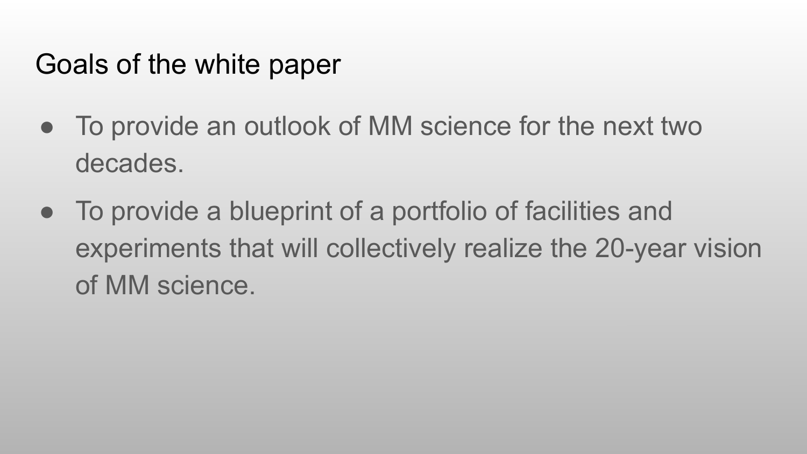#### Goals of the white paper

- To provide an outlook of MM science for the next two decades.
- To provide a blueprint of a portfolio of facilities and experiments that will collectively realize the 20-year vision of MM science.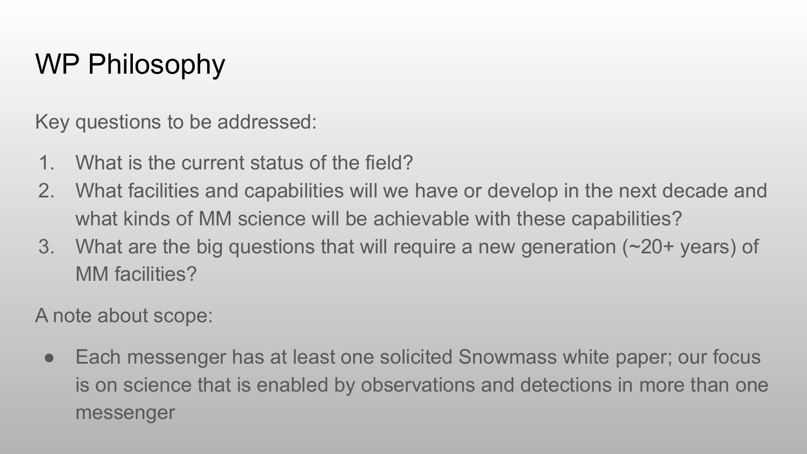## WP Philosophy

Key questions to be addressed:

- 1. What is the current status of the field?
- 2. What facilities and capabilities will we have or develop in the next decade and what kinds of MM science will be achievable with these capabilities?
- 3. What are the big questions that will require a new generation (~20+ years) of MM facilities?

A note about scope:

• Each messenger has at least one solicited Snowmass white paper; our focus is on science that is enabled by observations and detections in more than one messenger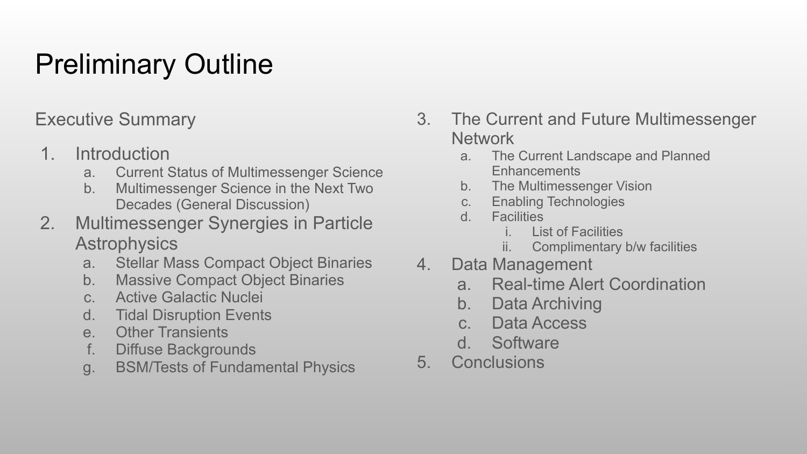### Preliminary Outline

#### Executive Summary

- 1. Introduction
	- a. Current Status of Multimessenger Science
	- b. Multimessenger Science in the Next Two Decades (General Discussion)
- 2. Multimessenger Synergies in Particle **Astrophysics** 
	- a. Stellar Mass Compact Object Binaries
	- b. Massive Compact Object Binaries
	- c. Active Galactic Nuclei
	- d. Tidal Disruption Events
	- e. Other Transients
	- f. Diffuse Backgrounds
	- g. BSM/Tests of Fundamental Physics
- 3. The Current and Future Multimessenger **Network** 
	- a. The Current Landscape and Planned **Enhancements**
	- b. The Multimessenger Vision
	- c. Enabling Technologies
	- d. Facilities
		- i. List of Facilities
		- ii. Complimentary b/w facilities
- 4. Data Management
	- a. Real-time Alert Coordination
	- b. Data Archiving
	- c. Data Access
	- d. Software
- 5. Conclusions